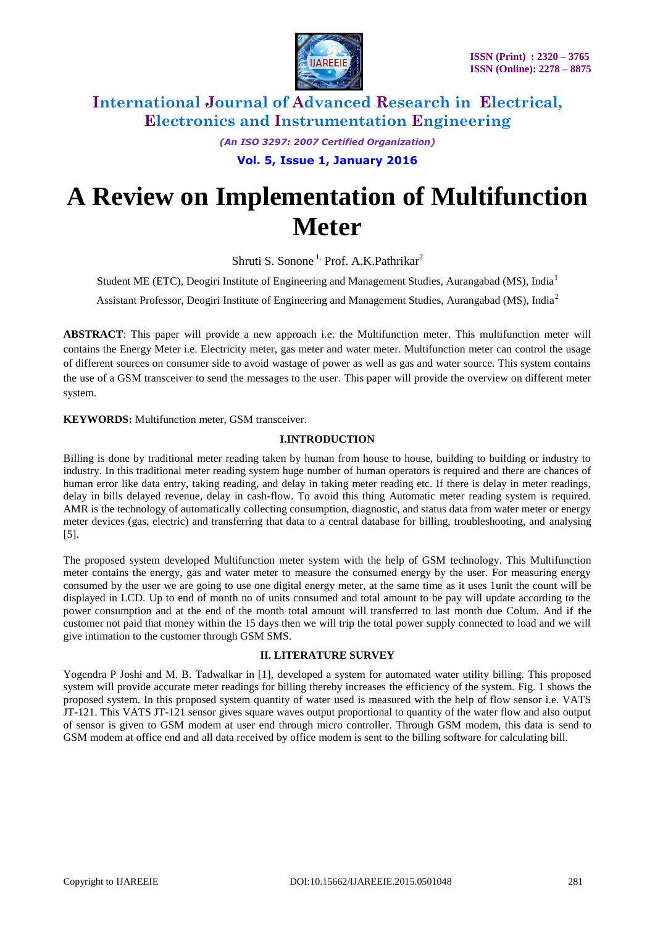

*(An ISO 3297: 2007 Certified Organization)*

**Vol. 5, Issue 1, January 2016**

# **A Review on Implementation of Multifunction Meter**

Shruti S. Sonone<sup>1,</sup> Prof. A.K. Pathrikar<sup>2</sup>

Student ME (ETC), Deogiri Institute of Engineering and Management Studies, Aurangabad (MS), India<sup>1</sup>

Assistant Professor, Deogiri Institute of Engineering and Management Studies, Aurangabad (MS), India<sup>2</sup>

**ABSTRACT**: This paper will provide a new approach i.e. the Multifunction meter. This multifunction meter will contains the Energy Meter i.e. Electricity meter, gas meter and water meter. Multifunction meter can control the usage of different sources on consumer side to avoid wastage of power as well as gas and water source. This system contains the use of a GSM transceiver to send the messages to the user. This paper will provide the overview on different meter system.

**KEYWORDS:** Multifunction meter, GSM transceiver.

#### **I.INTRODUCTION**

Billing is done by traditional meter reading taken by human from house to house, building to building or industry to industry. In this traditional meter reading system huge number of human operators is required and there are chances of human error like data entry, taking reading, and delay in taking meter reading etc. If there is delay in meter readings, delay in bills delayed revenue, delay in cash-flow. To avoid this thing Automatic meter reading system is required. AMR is the technology of automatically collecting consumption, diagnostic, and status data from water meter or energy meter devices (gas, electric) and transferring that data to a central database for billing, troubleshooting, and analysing [5].

The proposed system developed Multifunction meter system with the help of GSM technology. This Multifunction meter contains the energy, gas and water meter to measure the consumed energy by the user. For measuring energy consumed by the user we are going to use one digital energy meter, at the same time as it uses 1unit the count will be displayed in LCD. Up to end of month no of units consumed and total amount to be pay will update according to the power consumption and at the end of the month total amount will transferred to last month due Colum. And if the customer not paid that money within the 15 days then we will trip the total power supply connected to load and we will give intimation to the customer through GSM SMS.

#### **II. LITERATURE SURVEY**

Yogendra P Joshi and M. B. Tadwalkar in [1], developed a system for automated water utility billing. This proposed system will provide accurate meter readings for billing thereby increases the efficiency of the system. Fig. 1 shows the proposed system. In this proposed system quantity of water used is measured with the help of flow sensor i.e. VATS JT-121. This VATS JT-121 sensor gives square waves output proportional to quantity of the water flow and also output of sensor is given to GSM modem at user end through micro controller. Through GSM modem, this data is send to GSM modem at office end and all data received by office modem is sent to the billing software for calculating bill.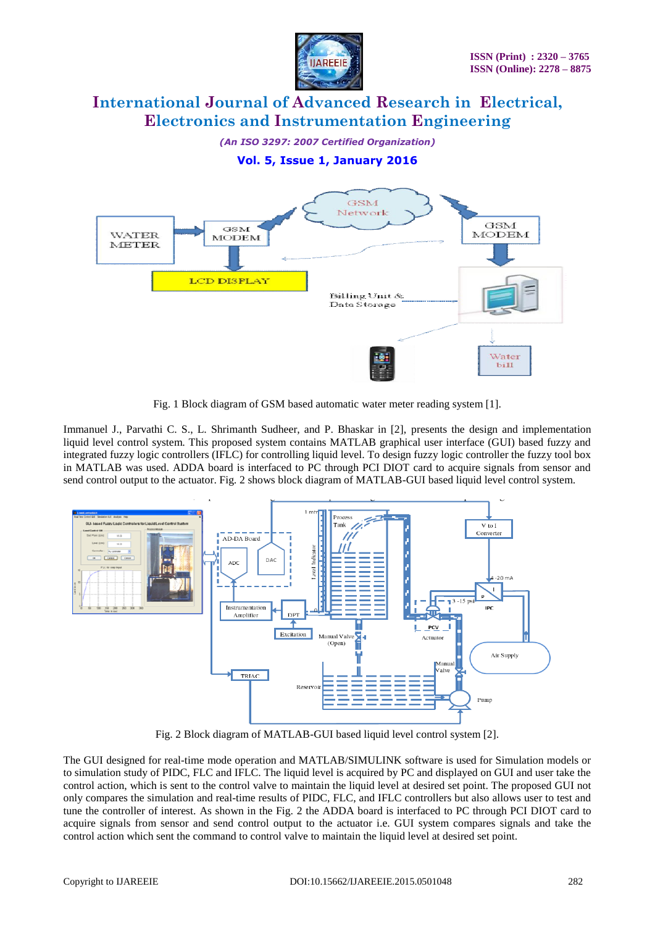

*(An ISO 3297: 2007 Certified Organization)*

### **Vol. 5, Issue 1, January 2016**



Fig. 1 Block diagram of GSM based automatic water meter reading system [1].

Immanuel J., Parvathi C. S., L. Shrimanth Sudheer, and P. Bhaskar in [2], presents the design and implementation liquid level control system. This proposed system contains MATLAB graphical user interface (GUI) based fuzzy and integrated fuzzy logic controllers (IFLC) for controlling liquid level. To design fuzzy logic controller the fuzzy tool box in MATLAB was used. ADDA board is interfaced to PC through PCI DIOT card to acquire signals from sensor and send control output to the actuator. Fig. 2 shows block diagram of MATLAB-GUI based liquid level control system.



Fig. 2 Block diagram of MATLAB-GUI based liquid level control system [2].

The GUI designed for real-time mode operation and MATLAB/SIMULINK software is used for Simulation models or to simulation study of PIDC, FLC and IFLC. The liquid level is acquired by PC and displayed on GUI and user take the control action, which is sent to the control valve to maintain the liquid level at desired set point. The proposed GUI not only compares the simulation and real-time results of PIDC, FLC, and IFLC controllers but also allows user to test and tune the controller of interest. As shown in the Fig. 2 the ADDA board is interfaced to PC through PCI DIOT card to acquire signals from sensor and send control output to the actuator i.e. GUI system compares signals and take the control action which sent the command to control valve to maintain the liquid level at desired set point.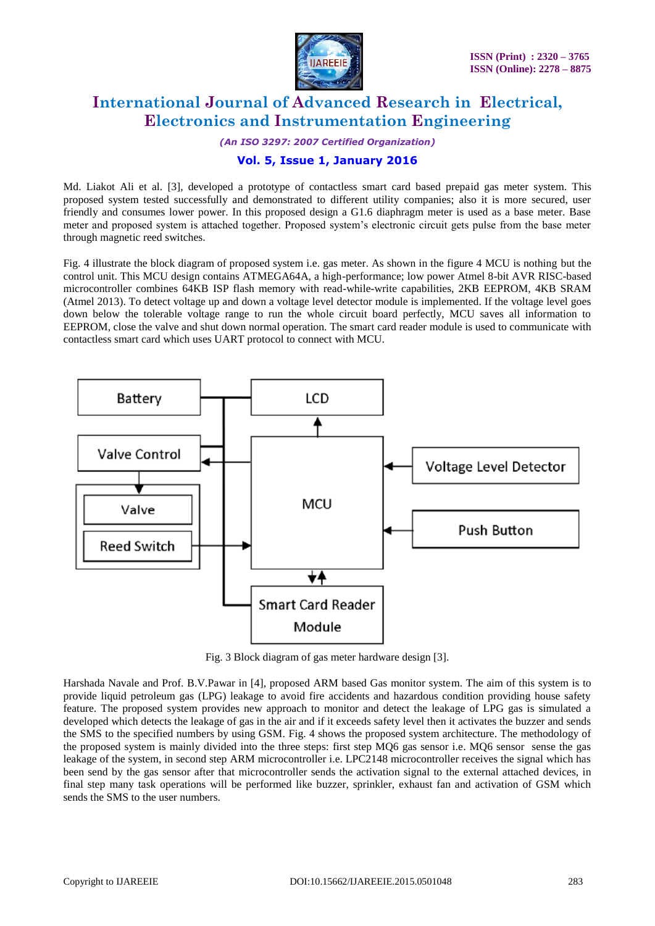

*(An ISO 3297: 2007 Certified Organization)*

### **Vol. 5, Issue 1, January 2016**

Md. Liakot Ali et al. [3], developed a prototype of contactless smart card based prepaid gas meter system. This proposed system tested successfully and demonstrated to different utility companies; also it is more secured, user friendly and consumes lower power. In this proposed design a G1.6 diaphragm meter is used as a base meter. Base meter and proposed system is attached together. Proposed system's electronic circuit gets pulse from the base meter through magnetic reed switches.

Fig. 4 illustrate the block diagram of proposed system i.e. gas meter. As shown in the figure 4 MCU is nothing but the control unit. This MCU design contains ATMEGA64A, a high-performance; low power Atmel 8-bit AVR RISC-based microcontroller combines 64KB ISP flash memory with read-while-write capabilities, 2KB EEPROM, 4KB SRAM (Atmel 2013). To detect voltage up and down a voltage level detector module is implemented. If the voltage level goes down below the tolerable voltage range to run the whole circuit board perfectly, MCU saves all information to EEPROM, close the valve and shut down normal operation. The smart card reader module is used to communicate with contactless smart card which uses UART protocol to connect with MCU.



Fig. 3 Block diagram of gas meter hardware design [3].

Harshada Navale and Prof. B.V.Pawar in [4], proposed ARM based Gas monitor system. The aim of this system is to provide liquid petroleum gas (LPG) leakage to avoid fire accidents and hazardous condition providing house safety feature. The proposed system provides new approach to monitor and detect the leakage of LPG gas is simulated a developed which detects the leakage of gas in the air and if it exceeds safety level then it activates the buzzer and sends the SMS to the specified numbers by using GSM. Fig. 4 shows the proposed system architecture. The methodology of the proposed system is mainly divided into the three steps: first step MQ6 gas sensor i.e. MQ6 sensor sense the gas leakage of the system, in second step ARM microcontroller i.e. LPC2148 microcontroller receives the signal which has been send by the gas sensor after that microcontroller sends the activation signal to the external attached devices, in final step many task operations will be performed like buzzer, sprinkler, exhaust fan and activation of GSM which sends the SMS to the user numbers.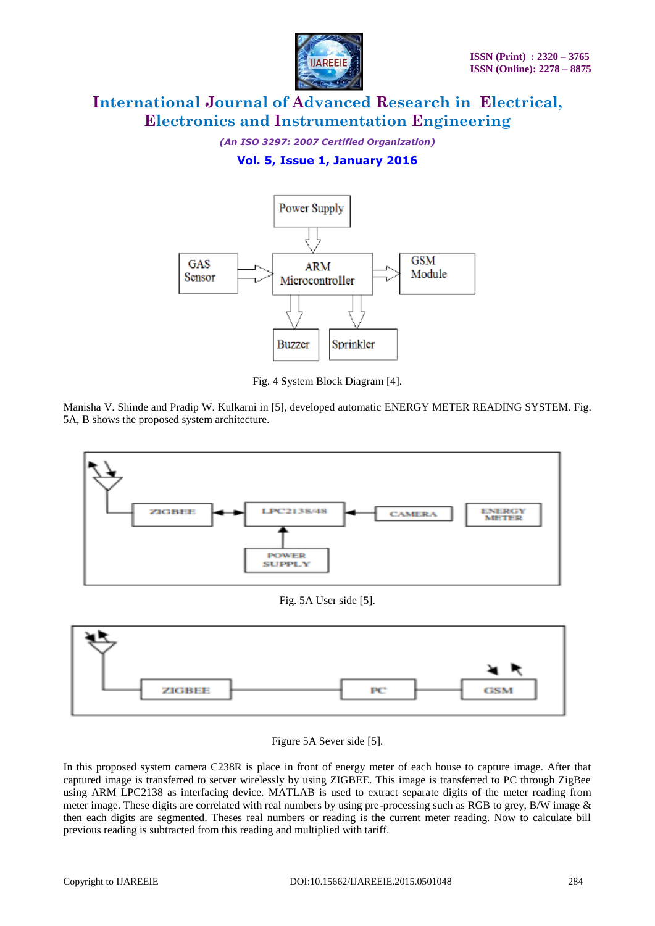

*(An ISO 3297: 2007 Certified Organization)*

### **Vol. 5, Issue 1, January 2016**



Fig. 4 System Block Diagram [4].

Manisha V. Shinde and Pradip W. Kulkarni in [5], developed automatic ENERGY METER READING SYSTEM. Fig. 5A, B shows the proposed system architecture.



### Fig. 5A User side [5].



Figure 5A Sever side [5].

In this proposed system camera C238R is place in front of energy meter of each house to capture image. After that captured image is transferred to server wirelessly by using ZIGBEE. This image is transferred to PC through ZigBee using ARM LPC2138 as interfacing device. MATLAB is used to extract separate digits of the meter reading from meter image. These digits are correlated with real numbers by using pre-processing such as RGB to grey, B/W image & then each digits are segmented. Theses real numbers or reading is the current meter reading. Now to calculate bill previous reading is subtracted from this reading and multiplied with tariff.